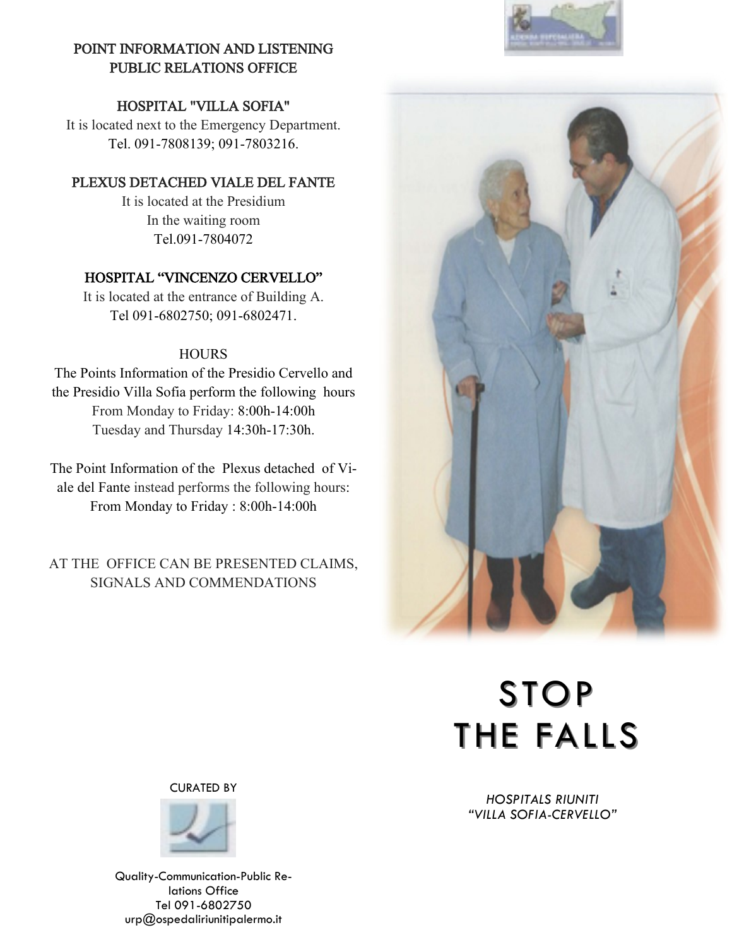

# POINT INFORMATION AND LISTENING PUBLIC RELATIONS OFFICE

## HOSPITAL "VILLA SOFIA"

It is located next to the Emergency Department. Tel. 091-7808139; 091-7803216.

## PLEXUS DETACHED VIALE DEL FANTE

It is located at the Presidium In the waiting room Tel.091-7804072

## HOSPITAL "VINCENZO CERVELLO"

It is located at the entrance of Building A. Tel 091-6802750; 091-6802471.

#### **HOURS**

The Points Information of the Presidio Cervello and the Presidio Villa Sofia perform the following hours From Monday to Friday: 8:00h-14:00h Tuesday and Thursday 14:30h-17:30h.

The Point Information of the Plexus detached of Viale del Fante instead performs the following hours: From Monday to Friday : 8:00h-14:00h

AT THE OFFICE CAN BE PRESENTED CLAIMS, SIGNALS AND COMMENDATIONS



# STOP THE FALLS

*HOSPITALS RIUNITI "VILLA SOFIA-CERVELLO"*

CURATED BY



Quality-Communication-Public Relations Office Tel 091-6802750 urp@ospedaliriunitipalermo.it